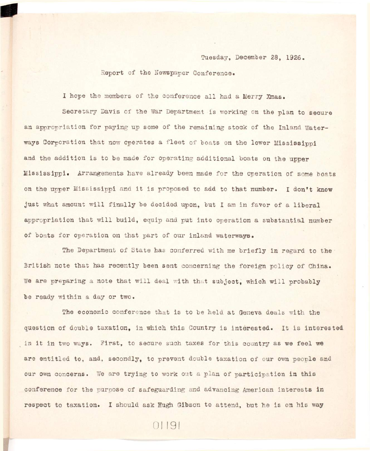Tuesday, December 28, 1926.

Report of the Newspaper Conference.

I hope the members of the conference all had a Merry Xmas.

Secretary Davis of the War Department is working on the plan to secure an appropriation for paying up some of the remaining stock of the Inland Waterways Corporation that now operates a fleet of boats on the lower Mississippi and the addition is to be made for operating additional boats on the upper **Mississippi . Arrangements have already been made for the operation of some boats**  on the upper Mississippi and it is proposed to add to that number. I don't know **just** what amount will finally be decided upon, but I am in favor of a liberal appropriation that will build, equip and put into operation a substantial number **of boats for operation on that part of our inland waterways.** 

The Department of State has conferred with me briefly in regard to the British note that has recently been sent concerning the foreign policy of China. We are preparing a note that will deal with that subject, which will probably **be ready within a day or two.** 

The economic conference that is to be held at Geneva deals with the **question of double taxation, in which this Country is interested. It is interested** in it in two ways. First, to secure such taxes for this country as we feel we are entitled to, and, secondly, to prevent double taxation of our own people and our own concerns. We are trying to work out a plan of participation in this conference for the purpose of safeguarding and advancing American interests in respect to taxation. I should ask Hugh Gibson to attend, but he is on his way

01191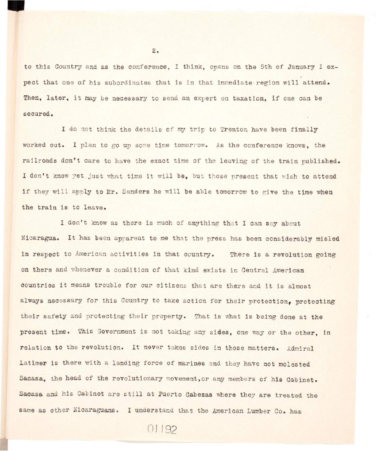to this Country and as the conference, I think, opens on the 5th of January I expect that one of his subordinates that is in that immediate region will attend. Then, later, it may be necessary to send an expert on taxation, if one can be **secured.** 

I do not think the details of my trip to Trenton have been finally worked out. I plan to go up some time tomorrow. As the conference knows, the railroads don't care to have the exact time of the leaving of the train published. I don't know yet, just what time it will be, but those present that wish to attend if they will apply to Mr. Sanders he will be able tomorrow to give the time when the train is to leave.

I don't know as there is much of anything that I can say about Nicaragua. It has been apparent to me that the press has been considerably misled in respect to American activities in that country. There is a revolution going on there and whenever a condition of that kind exists in Central American countries it means trouble for our citizens that are there and it is almost always necessary for this Country to take action for their protection, protecting their safety and protecting their property. That is what is being done at the present time. This Government is not taking any sides, one way or the other, in relation to the revolution. It never takes sides in those matters. Admiral Latimer is there with a landing force of marines and they have not molested Sacasa, the head of the revolutionary movement, or any members of his Cabinet. Sacasa and his Cabinet are still at Puerto Cabezas where they are treated the **same as other Nicaraguans. I understand that the American Lumber Co. has** 

 $2.$ 

01192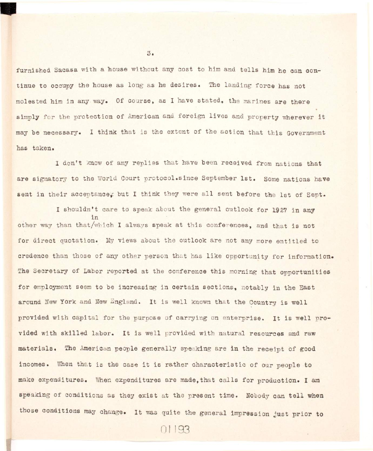furnished Sacasa with a house without any cost to him and tells him he can con**tinue to occupy the house as long as he desires . The landing forc e has not molested him i n any way. Of course, as I have stated, the marines are there**  simply for the protection of American and foreign lives and property wherever it may be necessary. I think that is the extent of the action that this Government **has taken.** 

I don't know of any replies that have been received from nations that are signatory to the World Court protocol.since September 1st. Some nations have sent in their acceptance, but I think they were all sent before the 1st of Sept.

I shouldn't care to speak about the general outlook for 1927 in any **i n**  other way than that/which I always speak at this conferences, and that is not for direct quotation. My views about the outlook are not any more entitled to credence than those of any other person that has like opportunity for information. **credence than those of any other person that has lik e opportunity fo r information.**  The Secretary of Labor reported at the conference this morning that opportunities **The Secretary of Labor reported at the conference thi s morning that opportunities**  for employment seem to be increasing in certain sections, notably in the East **f o r employment seem to be increasing i n certai n sections, notably i n the East**  around New York and New England. It is well known that the Country is well **around New York and New Sngland. It i s wel l known that the Country i s wel l**  provided with capital for the purpose of carrying on enterprise. It is well provided with skilled labor. It is well provided with natural resources and raw materials. The American people generally speaking are in the receipt of good incomes. When that is the case it is rather characteristic of our people to **incomes. When that i s the case i t i s rather characteristi c of our people to**  make expenditures. When expenditures are made, that calls for production. I am **make expenditures. When expenditures are made,that call s fo r production. I am**  speaking of conditions as they exist at the present time. Nobody can tell when those conditions may change. It was quite the general impression just prior to

01193

 $3.1$